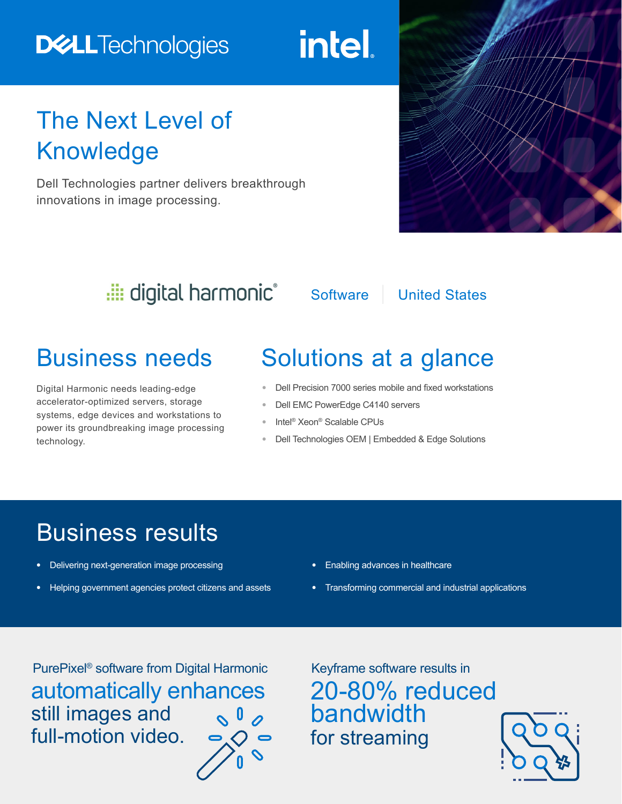# **DELLTechnologies**

intel.

# The Next Level of Knowledge

Dell Technologies partner delivers breakthrough innovations in image processing.



## digital harmonic®

Software | United States

Digital Harmonic needs leading-edge accelerator-optimized servers, storage systems, edge devices and workstations to power its groundbreaking image processing technology.

# Business needs Solutions at a glance

- **•** Dell Precision 7000 series mobile and fixed workstations
- **•** Dell EMC PowerEdge C4140 servers
- **•** Intel® Xeon® Scalable CPUs
- **•** Dell Technologies OEM | Embedded & Edge Solutions

# Business results

- **•** Delivering next-generation image processing
- **•** Helping government agencies protect citizens and assets
- **•** Enabling advances in healthcare
- **•** Transforming commercial and industrial applications

PurePixel® software from Digital Harmonicautomatically enhances still images and  $\sim 0$ full-motion video.

Keyframe software results in 20-80% reduced bandwidth for streaming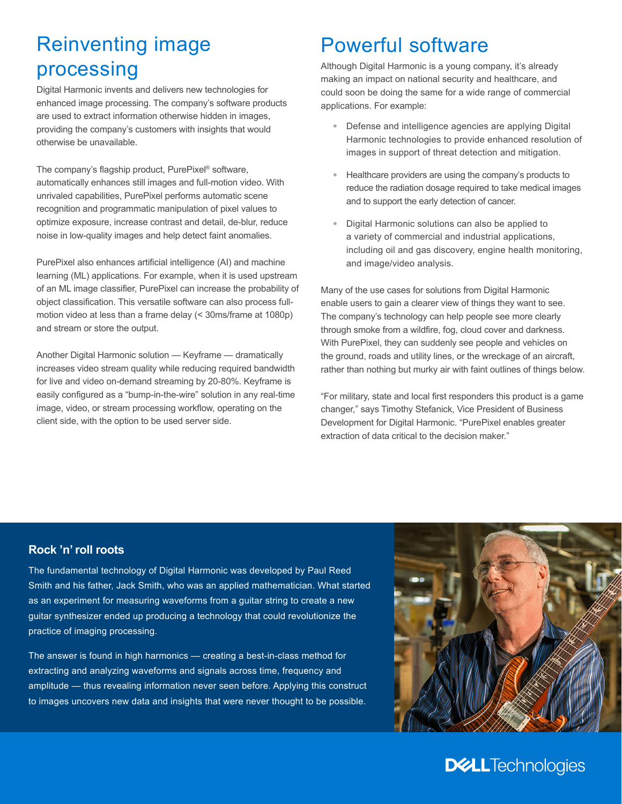## Reinventing image processing

Digital Harmonic invents and delivers new technologies for enhanced image processing. The company's software products are used to extract information otherwise hidden in images, providing the company's customers with insights that would otherwise be unavailable.

The company's flagship product, PurePixel® software, automatically enhances still images and full-motion video. With unrivaled capabilities, PurePixel performs automatic scene recognition and programmatic manipulation of pixel values to optimize exposure, increase contrast and detail, de-blur, reduce noise in low-quality images and help detect faint anomalies.

PurePixel also enhances artificial intelligence (AI) and machine learning (ML) applications. For example, when it is used upstream of an ML image classifier, PurePixel can increase the probability of object classification. This versatile software can also process fullmotion video at less than a frame delay (< 30ms/frame at 1080p) and stream or store the output.

Another Digital Harmonic solution — Keyframe — dramatically increases video stream quality while reducing required bandwidth for live and video on-demand streaming by 20-80%. Keyframe is easily configured as a "bump-in-the-wire" solution in any real-time image, video, or stream processing workflow, operating on the client side, with the option to be used server side.

### Powerful software

Although Digital Harmonic is a young company, it's already making an impact on national security and healthcare, and could soon be doing the same for a wide range of commercial applications. For example:

- **•** Defense and intelligence agencies are applying Digital Harmonic technologies to provide enhanced resolution of images in support of threat detection and mitigation.
- **•** Healthcare providers are using the company's products to reduce the radiation dosage required to take medical images and to support the early detection of cancer.
- **•** Digital Harmonic solutions can also be applied to a variety of commercial and industrial applications, including oil and gas discovery, engine health monitoring, and image/video analysis.

Many of the use cases for solutions from Digital Harmonic enable users to gain a clearer view of things they want to see. The company's technology can help people see more clearly through smoke from a wildfire, fog, cloud cover and darkness. With PurePixel, they can suddenly see people and vehicles on the ground, roads and utility lines, or the wreckage of an aircraft, rather than nothing but murky air with faint outlines of things below.

"For military, state and local first responders this product is a game changer," says Timothy Stefanick, Vice President of Business Development for Digital Harmonic. "PurePixel enables greater extraction of data critical to the decision maker."

#### **Rock 'n' roll roots**

The fundamental technology of Digital Harmonic was developed by Paul Reed Smith and his father, Jack Smith, who was an applied mathematician. What started as an experiment for measuring waveforms from a guitar string to create a new guitar synthesizer ended up producing a technology that could revolutionize the practice of imaging processing.

The answer is found in high harmonics — creating a best-in-class method for extracting and analyzing waveforms and signals across time, frequency and amplitude — thus revealing information never seen before. Applying this construct to images uncovers new data and insights that were never thought to be possible.



#### **DELL**Technologies